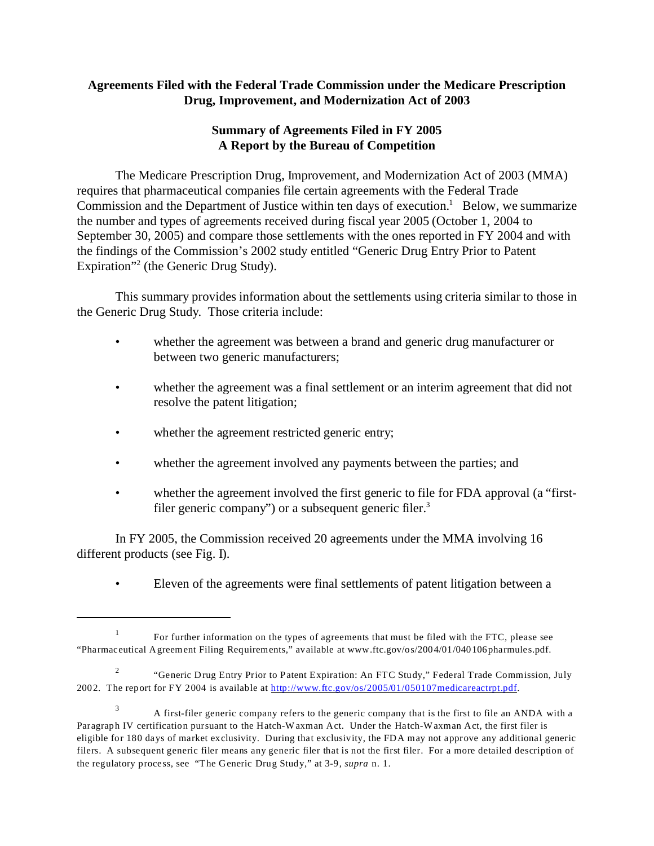# **Agreements Filed with the Federal Trade Commission under the Medicare Prescription Drug, Improvement, and Modernization Act of 2003**

# **Summary of Agreements Filed in FY 2005 A Report by the Bureau of Competition**

The Medicare Prescription Drug, Improvement, and Modernization Act of 2003 (MMA) requires that pharmaceutical companies file certain agreements with the Federal Trade Commission and the Department of Justice within ten days of execution.<sup>1</sup> Below, we summarize the number and types of agreements received during fiscal year 2005 (October 1, 2004 to September 30, 2005) and compare those settlements with the ones reported in FY 2004 and with the findings of the Commission's 2002 study entitled "Generic Drug Entry Prior to Patent Expiration"<sup>2</sup> (the Generic Drug Study).

This summary provides information about the settlements using criteria similar to those in the Generic Drug Study. Those criteria include:

- whether the agreement was between a brand and generic drug manufacturer or between two generic manufacturers;
- whether the agreement was a final settlement or an interim agreement that did not resolve the patent litigation;
- whether the agreement restricted generic entry;
- whether the agreement involved any payments between the parties; and
- whether the agreement involved the first generic to file for FDA approval (a "firstfiler generic company") or a subsequent generic filer.<sup>3</sup>

In FY 2005, the Commission received 20 agreements under the MMA involving 16 different products (see Fig. I).

• Eleven of the agreements were final settlements of patent litigation between a

<sup>1</sup> For further information on the types of agreements that must be filed with the FTC, please see "Pharmaceutical Agreement Filing Requirements," available at www.ftc.gov/os/2004/01/040106pharmules.pdf.

<sup>2</sup> "Generic Drug Entry Prior to Patent Expiration: An FTC Study," Federal Trade Commission, July 2002. The report for FY 2004 is available at<http://www.ftc.gov/os/2005/01/050107medicareactrpt.pdf>.

<sup>&</sup>lt;sup>3</sup> A first-filer generic company refers to the generic company that is the first to file an ANDA with a Paragraph IV certification pursuant to the Hatch-Waxman Act. Under the Hatch-Waxman Act, the first filer is eligible for 180 days of market exclusivity. During that exclusivity, the FDA may not approve any additional generic filers. A subsequent generic filer means any generic filer that is not the first filer. For a more detailed description of the regulatory process, see "The Generic Drug Study," at 3-9, *supra* n. 1.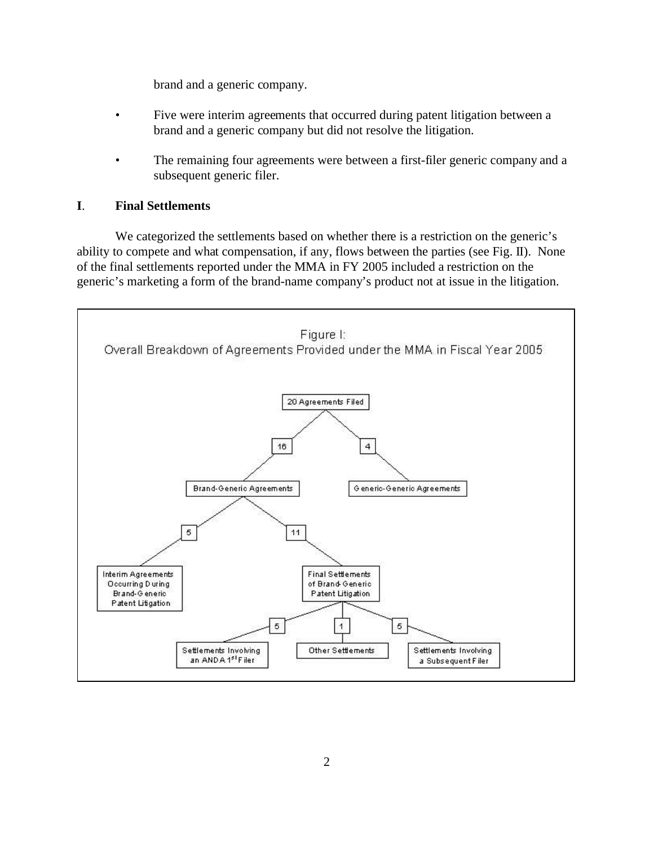brand and a generic company.

- Five were interim agreements that occurred during patent litigation between a brand and a generic company but did not resolve the litigation.
- The remaining four agreements were between a first-filer generic company and a subsequent generic filer.

### **I**. **Final Settlements**

We categorized the settlements based on whether there is a restriction on the generic's ability to compete and what compensation, if any, flows between the parties (see Fig. II). None of the final settlements reported under the MMA in FY 2005 included a restriction on the generic's marketing a form of the brand-name company's product not at issue in the litigation.

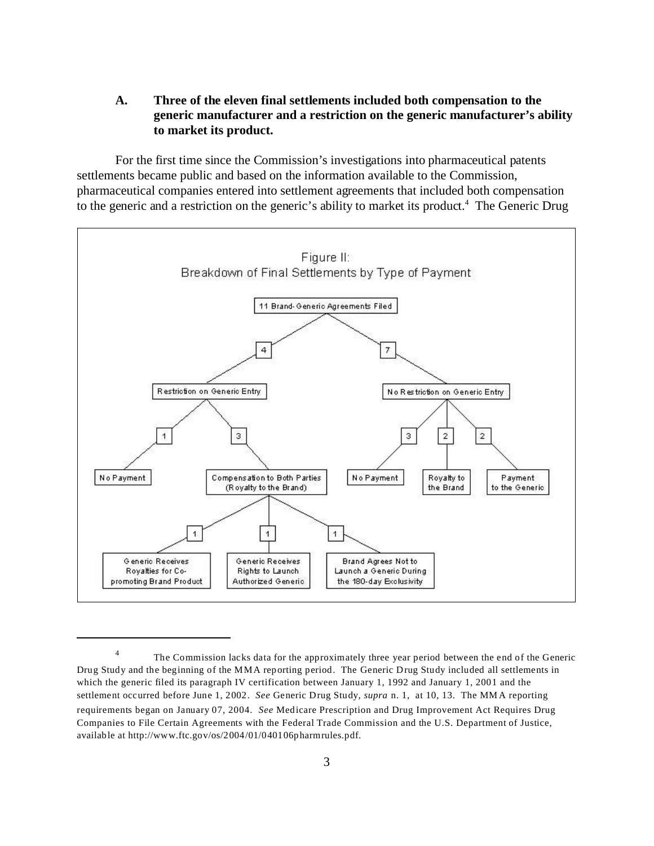### **A. Three of the eleven final settlements included both compensation to the generic manufacturer and a restriction on the generic manufacturer's ability to market its product.**

For the first time since the Commission's investigations into pharmaceutical patents settlements became public and based on the information available to the Commission, pharmaceutical companies entered into settlement agreements that included both compensation to the generic and a restriction on the generic's ability to market its product.<sup>4</sup> The Generic Drug



<sup>4</sup> The Commission lacks data for the approximately three year period between the end of the Generic Drug Study and the beginning of the MMA reporting period. The Generic Drug Study included all settlements in which the generic filed its paragraph IV certification between January 1, 1992 and January 1, 2001 and the settlement occurred before June 1, 2002. *See* Generic Drug Study, *supra* n. 1, at 10, 13. The MMA reporting requirements began on January 07, 2004. *See* Medicare Prescription and Drug Improvement Act Requires Drug Companies to File Certain Agreements with the Federal Trade Commission and the U.S. Department of Justice, available at http://www.ftc.gov/os/2004/01/040106pharmrules.pdf.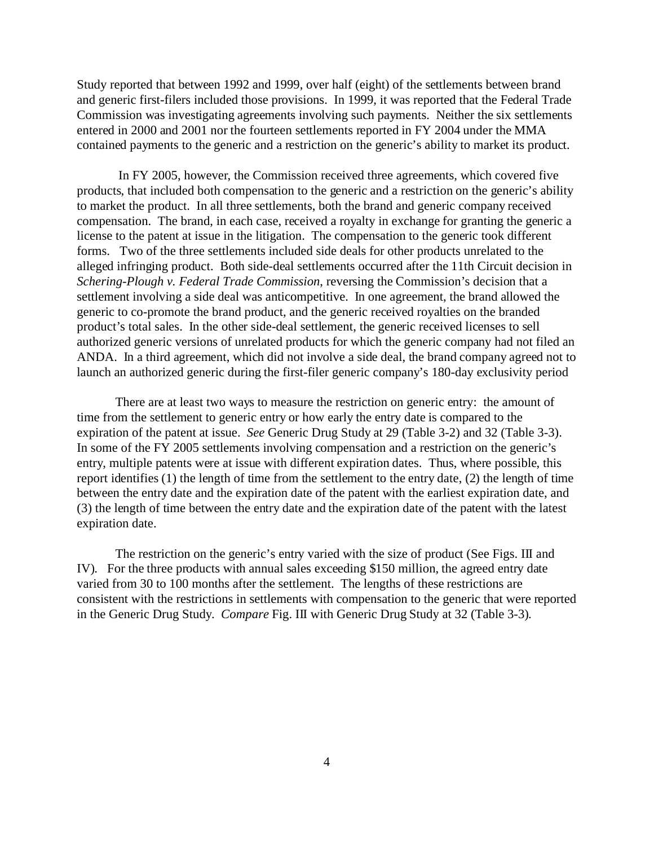Study reported that between 1992 and 1999, over half (eight) of the settlements between brand and generic first-filers included those provisions. In 1999, it was reported that the Federal Trade Commission was investigating agreements involving such payments. Neither the six settlements entered in 2000 and 2001 nor the fourteen settlements reported in FY 2004 under the MMA contained payments to the generic and a restriction on the generic's ability to market its product.

 In FY 2005, however, the Commission received three agreements, which covered five products, that included both compensation to the generic and a restriction on the generic's ability to market the product. In all three settlements, both the brand and generic company received compensation. The brand, in each case, received a royalty in exchange for granting the generic a license to the patent at issue in the litigation. The compensation to the generic took different forms. Two of the three settlements included side deals for other products unrelated to the alleged infringing product. Both side-deal settlements occurred after the 11th Circuit decision in *Schering-Plough v. Federal Trade Commission*, reversing the Commission's decision that a settlement involving a side deal was anticompetitive. In one agreement, the brand allowed the generic to co-promote the brand product, and the generic received royalties on the branded product's total sales. In the other side-deal settlement, the generic received licenses to sell authorized generic versions of unrelated products for which the generic company had not filed an ANDA. In a third agreement, which did not involve a side deal, the brand company agreed not to launch an authorized generic during the first-filer generic company's 180-day exclusivity period

There are at least two ways to measure the restriction on generic entry: the amount of time from the settlement to generic entry or how early the entry date is compared to the expiration of the patent at issue. *See* Generic Drug Study at 29 (Table 3-2) and 32 (Table 3-3). In some of the FY 2005 settlements involving compensation and a restriction on the generic's entry, multiple patents were at issue with different expiration dates. Thus, where possible, this report identifies (1) the length of time from the settlement to the entry date, (2) the length of time between the entry date and the expiration date of the patent with the earliest expiration date, and (3) the length of time between the entry date and the expiration date of the patent with the latest expiration date.

The restriction on the generic's entry varied with the size of product (See Figs. III and IV). For the three products with annual sales exceeding \$150 million, the agreed entry date varied from 30 to 100 months after the settlement. The lengths of these restrictions are consistent with the restrictions in settlements with compensation to the generic that were reported in the Generic Drug Study. *Compare* Fig. III with Generic Drug Study at 32 (Table 3-3).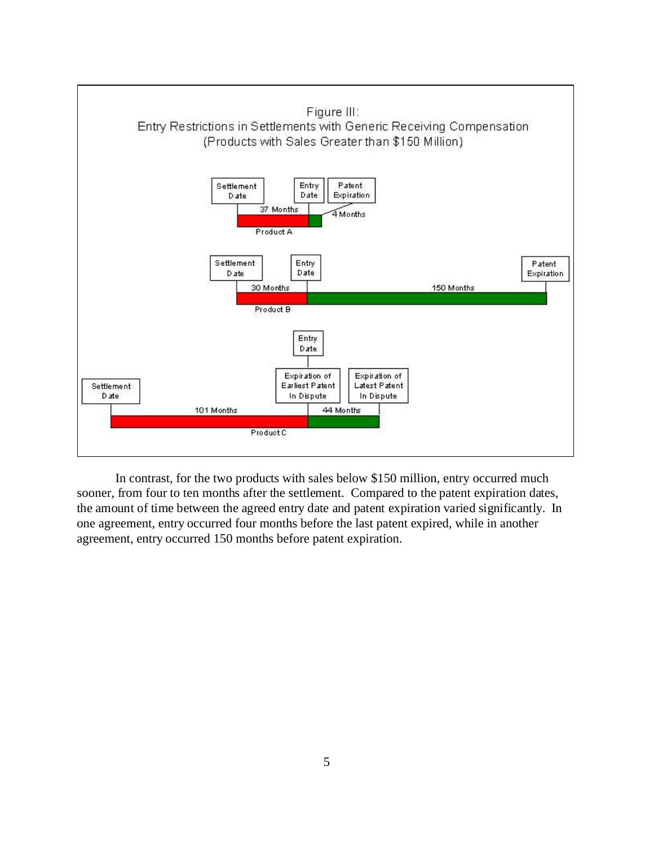

In contrast, for the two products with sales below \$150 million, entry occurred much sooner, from four to ten months after the settlement. Compared to the patent expiration dates, the amount of time between the agreed entry date and patent expiration varied significantly. In one agreement, entry occurred four months before the last patent expired, while in another agreement, entry occurred 150 months before patent expiration.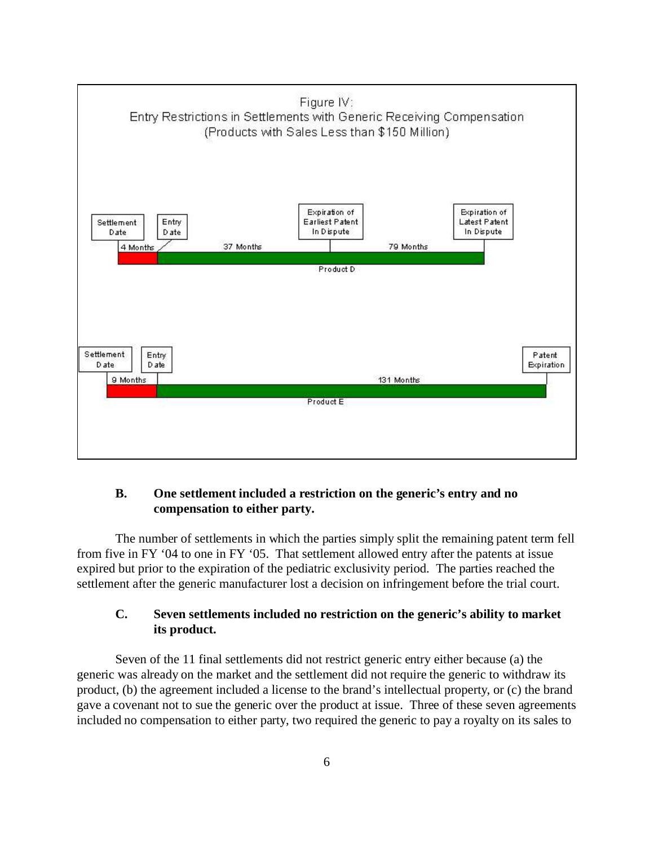

# **B. One settlement included a restriction on the generic's entry and no compensation to either party.**

The number of settlements in which the parties simply split the remaining patent term fell from five in FY '04 to one in FY '05. That settlement allowed entry after the patents at issue expired but prior to the expiration of the pediatric exclusivity period. The parties reached the settlement after the generic manufacturer lost a decision on infringement before the trial court.

# **C. Seven settlements included no restriction on the generic's ability to market its product.**

Seven of the 11 final settlements did not restrict generic entry either because (a) the generic was already on the market and the settlement did not require the generic to withdraw its product, (b) the agreement included a license to the brand's intellectual property, or (c) the brand gave a covenant not to sue the generic over the product at issue. Three of these seven agreements included no compensation to either party, two required the generic to pay a royalty on its sales to